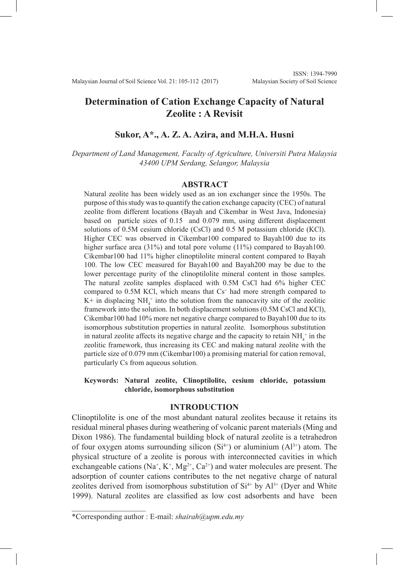# **Determination of Cation Exchange Capacity of Natural Zeolite : A Revisit**

# **Sukor, A\*., A. Z. A. Azira, and M.H.A. Husni**

*Department of Land Management, Faculty of Agriculture, Universiti Putra Malaysia 43400 UPM Serdang, Selangor, Malaysia*

#### **ABSTRACT**

Natural zeolite has been widely used as an ion exchanger since the 1950s. The purpose of this study was to quantify the cation exchange capacity (CEC) of natural zeolite from different locations (Bayah and Cikembar in West Java, Indonesia) based on particle sizes of 0.15 and 0.079 mm, using different displacement solutions of 0.5M cesium chloride (CsCl) and 0.5 M potassium chloride (KCl). Higher CEC was observed in Cikembar100 compared to Bayah100 due to its higher surface area (31%) and total pore volume (11%) compared to Bayah100. Cikembar100 had 11% higher clinoptilolite mineral content compared to Bayah 100. The low CEC measured for Bayah100 and Bayah200 may be due to the lower percentage purity of the clinoptilolite mineral content in those samples. The natural zeolite samples displaced with 0.5M CsCl had 6% higher CEC compared to  $0.5M$  KCl, which means that  $Cs<sup>+</sup>$  had more strength compared to  $K^+$  in displacing  $NH_4^+$  into the solution from the nanocavity site of the zeolitic framework into the solution. In both displacement solutions (0.5M CsCl and KCl), Cikembar100 had 10% more net negative charge compared to Bayah100 due to its isomorphous substitution properties in natural zeolite. Isomorphous substitution in natural zeolite affects its negative charge and the capacity to retain  $NH<sub>4</sub><sup>+</sup>$  in the zeolitic framework, thus increasing its CEC and making natural zeolite with the particle size of 0.079 mm (Cikembar100) a promising material for cation removal, particularly Cs from aqueous solution.

### **Keywords: Natural zeolite, Clinoptilolite, cesium chloride, potassium chloride, isomorphous substitution**

### **INTRODUCTION**

Clinoptilolite is one of the most abundant natural zeolites because it retains its residual mineral phases during weathering of volcanic parent materials (Ming and Dixon 1986). The fundamental building block of natural zeolite is a tetrahedron of four oxygen atoms surrounding silicon  $(S<sup>i+1</sup>)$  or aluminium  $(A<sup>1</sup>)<sup>i+1</sup>$  atom. The physical structure of a zeolite is porous with interconnected cavities in which exchangeable cations ( $Na^+$ ,  $K^+$ ,  $Mg^{2+}$ ,  $Ca^{2+}$ ) and water molecules are present. The adsorption of counter cations contributes to the net negative charge of natural zeolites derived from isomorphous substitution of  $Si<sup>4+</sup>$  by  $Al<sup>3+</sup>$  (Dyer and White 1999). Natural zeolites are classified as low cost adsorbents and have been

 $\mathcal{L}$  , and the set of the set of the set of the set of the set of the set of the set of the set of the set of the set of the set of the set of the set of the set of the set of the set of the set of the set of the set

<sup>\*</sup>Corresponding author : E-mail: *shairah@upm.edu.my*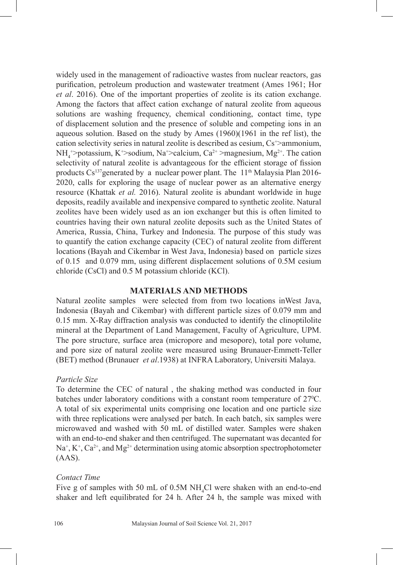widely used in the management of radioactive wastes from nuclear reactors, gas purification, petroleum production and wastewater treatment (Ames 1961; Hor *et al*. 2016). One of the important properties of zeolite is its cation exchange. Among the factors that affect cation exchange of natural zeolite from aqueous solutions are washing frequency, chemical conditioning, contact time, type of displacement solution and the presence of soluble and competing ions in an aqueous solution. Based on the study by Ames (1960)(1961 in the ref list), the cation selectivity series in natural zeolite is described as cesium,  $Cs^{\dagger}$  ammonium,  $NH_4^{\ast}$ >potassium, K<sup>+</sup>>sodium, Na<sup>+</sup>>calcium, Ca<sup>2+</sup> >magnesium, Mg<sup>2+</sup>. The cation selectivity of natural zeolite is advantageous for the efficient storage of fission products Cs<sup>137</sup>generated by a nuclear power plant. The 11<sup>th</sup> Malaysia Plan 2016-2020, calls for exploring the usage of nuclear power as an alternative energy resource (Khattak *et al.* 2016). Natural zeolite is abundant worldwide in huge deposits, readily available and inexpensive compared to synthetic zeolite. Natural zeolites have been widely used as an ion exchanger but this is often limited to countries having their own natural zeolite deposits such as the United States of America, Russia, China, Turkey and Indonesia. The purpose of this study was to quantify the cation exchange capacity (CEC) of natural zeolite from different locations (Bayah and Cikembar in West Java, Indonesia) based on particle sizes of 0.15 and 0.079 mm, using different displacement solutions of 0.5M cesium chloride (CsCl) and 0.5 M potassium chloride (KCl).

# **MATERIALS AND METHODS**

Natural zeolite samples were selected from from two locations inWest Java, Indonesia (Bayah and Cikembar) with different particle sizes of 0.079 mm and 0.15 mm. X-Ray diffraction analysis was conducted to identify the clinoptilolite mineral at the Department of Land Management, Faculty of Agriculture, UPM. The pore structure, surface area (micropore and mesopore), total pore volume, and pore size of natural zeolite were measured using Brunauer-Emmett-Teller (BET) method (Brunauer *et al*.1938) at INFRA Laboratory, Universiti Malaya.

# *Particle Size*

To determine the CEC of natural , the shaking method was conducted in four batches under laboratory conditions with a constant room temperature of 27<sup>o</sup>C. A total of six experimental units comprising one location and one particle size with three replications were analysed per batch. In each batch, six samples were microwaved and washed with 50 mL of distilled water. Samples were shaken with an end-to-end shaker and then centrifuged. The supernatant was decanted for  $Na<sup>+</sup>, K<sup>+</sup>, Ca<sup>2+</sup>, and Mg<sup>2+</sup> determination using atomic absorption spectrophotometer$  $(AAS)$ .

### *Contact Time*

Five g of samples with 50 mL of  $0.5M$  NH<sub>4</sub>Cl were shaken with an end-to-end shaker and left equilibrated for 24 h. After 24 h, the sample was mixed with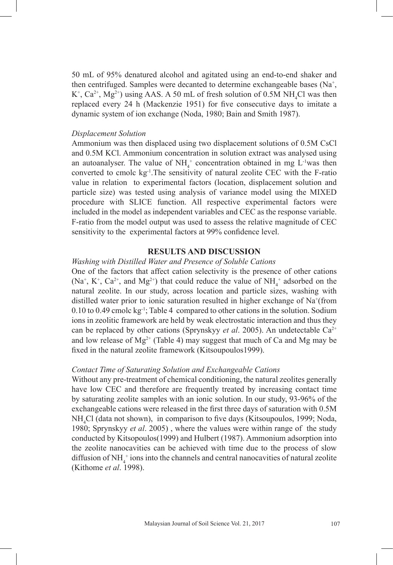50 mL of 95% denatured alcohol and agitated using an end-to-end shaker and then centrifuged. Samples were decanted to determine exchangeable bases  $(Na^+,$  $K^+$ ,  $Ca^{2+}$ ,  $Mg^{2+}$ ) using AAS. A 50 mL of fresh solution of 0.5M NH<sub>4</sub>Cl was then replaced every 24 h (Mackenzie 1951) for five consecutive days to imitate a dynamic system of ion exchange (Noda, 1980; Bain and Smith 1987).

#### *Displacement Solution*

Ammonium was then displaced using two displacement solutions of 0.5M CsCl and 0.5M KCl. Ammonium concentration in solution extract was analysed using an autoanalyser. The value of  $NH_4^+$  concentration obtained in mg L<sup>-1</sup>was then converted to cmolc kg-1.The sensitivity of natural zeolite CEC with the F-ratio value in relation to experimental factors (location, displacement solution and particle size) was tested using analysis of variance model using the MIXED procedure with SLICE function. All respective experimental factors were included in the model as independent variables and CEC as the response variable. F-ratio from the model output was used to assess the relative magnitude of CEC sensitivity to the experimental factors at 99% confidence level.

# **RESULTS AND DISCUSSION**

# *Washing with Distilled Water and Presence of Soluble Cations*

One of the factors that affect cation selectivity is the presence of other cations (Na<sup>+</sup>, K<sup>+</sup>, Ca<sup>2+</sup>, and Mg<sup>2+</sup>) that could reduce the value of NH<sub>4</sub><sup>+</sup> adsorbed on the natural zeolite. In our study, across location and particle sizes, washing with distilled water prior to ionic saturation resulted in higher exchange of Na<sup>+</sup>(from 0.10 to 0.49 cmolc kg-1; Table 4 compared to other cations in the solution. Sodium ions in zeolitic framework are held by weak electrostatic interaction and thus they can be replaced by other cations (Sprynskyy *et al*. 2005). An undetectable Ca2+ and low release of  $Mg^{2+}$  (Table 4) may suggest that much of Ca and Mg may be fixed in the natural zeolite framework (Kitsoupoulos1999).

#### *Contact Time of Saturating Solution and Exchangeable Cations*

Without any pre-treatment of chemical conditioning, the natural zeolites generally have low CEC and therefore are frequently treated by increasing contact time by saturating zeolite samples with an ionic solution. In our study, 93-96% of the exchangeable cations were released in the first three days of saturation with 0.5M NH<sup>4</sup> Cl (data not shown), in comparison to five days (Kitsoupoulos, 1999; Noda, 1980; Sprynskyy *et al*. 2005) , where the values were within range of the study conducted by Kitsopoulos(1999) and Hulbert (1987). Ammonium adsorption into the zeolite nanocavities can be achieved with time due to the process of slow diffusion of  $NH_4^+$  ions into the channels and central nanocavities of natural zeolite (Kithome *et al*. 1998).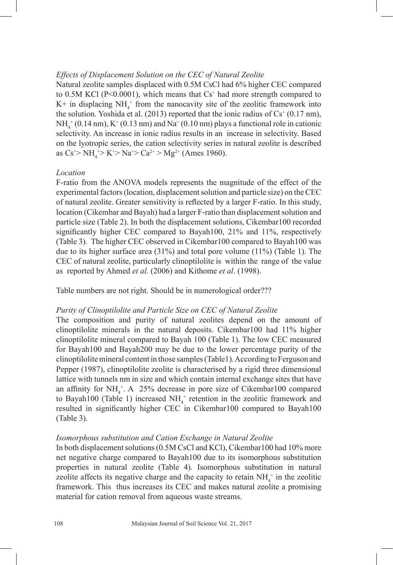### *Effects of Displacement Solution on the CEC of Natural Zeolite*

Natural zeolite samples displaced with 0.5M CsCl had 6% higher CEC compared to  $0.5M$  KCl (P<0.0001), which means that  $Cs<sup>+</sup>$  had more strength compared to  $K^+$  in displacing  $NH_4^+$  from the nanocavity site of the zeolitic framework into the solution. Yoshida et al. (2013) reported that the ionic radius of  $Cs^+(0.17 \text{ nm})$ ,  $NH_4^+$  (0.14 nm),  $K^+$  (0.13 nm) and  $Na^+$  (0.10 nm) plays a functional role in cationic selectivity. An increase in ionic radius results in an increase in selectivity. Based on the lyotropic series, the cation selectivity series in natural zeolite is described as  $Cs^{+} > NH_4^+ > K^{+} > Na^{+} > Ca^{2+} > Mg^{2+}$  (Ames 1960).

### *Location*

F-ratio from the ANOVA models represents the magnitude of the effect of the experimental factors (location, displacement solution and particle size) on the CEC of natural zeolite. Greater sensitivity is reflected by a larger F-ratio. In this study, location (Cikembar and Bayah) had a larger F-ratio than displacement solution and particle size (Table 2). In both the displacement solutions, Cikembar100 recorded significantly higher CEC compared to Bayah100, 21% and 11%, respectively (Table 3). The higher CEC observed in Cikembar100 compared to Bayah100 was due to its higher surface area (31%) and total pore volume (11%) (Table 1). The CEC of natural zeolite, particularly clinoptilolite is within the range of the value as reported by Ahmed *et al.* (2006) and Kithome *et al*. (1998).

Table numbers are not right. Should be in numerological order???

#### *Purity of Clinoptilolite and Particle Size on CEC of Natural Zeolite*

The composition and purity of natural zeolites depend on the amount of clinoptilolite minerals in the natural deposits. Cikembar100 had 11% higher clinoptilolite mineral compared to Bayah 100 (Table 1). The low CEC measured for Bayah100 and Bayah200 may be due to the lower percentage purity of the clinoptilolite mineral content in those samples (Table1). According to Ferguson and Pepper (1987), clinoptilolite zeolite is characterised by a rigid three dimensional lattice with tunnels nm in size and which contain internal exchange sites that have an affinity for  $NH_4^+$ . A 25% decrease in pore size of Cikembar100 compared to Bayah100 (Table 1) increased  $NH_4^+$  retention in the zeolitic framework and resulted in significantly higher CEC in Cikembar100 compared to Bayah100 (Table 3).

#### *Isomorphous substitution and Cation Exchange in Natural Zeolite*

In both displacement solutions (0.5M CsCl and KCl), Cikembar100 had 10% more net negative charge compared to Bayah100 due to its isomorphous substitution properties in natural zeolite (Table 4). Isomorphous substitution in natural zeolite affects its negative charge and the capacity to retain  $NH<sub>4</sub><sup>+</sup>$  in the zeolitic framework. This thus increases its CEC and makes natural zeolite a promising material for cation removal from aqueous waste streams.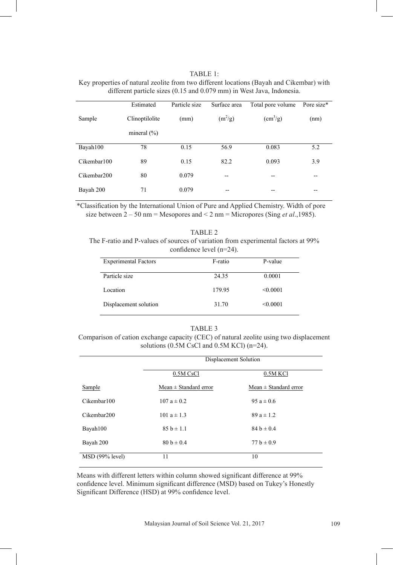| TABLE 1:                                                                                 |
|------------------------------------------------------------------------------------------|
| Key properties of natural zeolite from two different locations (Bayah and Cikembar) with |
| different particle sizes $(0.15 \text{ and } 0.079 \text{ mm})$ in West Java, Indonesia. |

|             | Estimated       | Particle size | Surface area | Total pore volume         | Pore size* |
|-------------|-----------------|---------------|--------------|---------------------------|------------|
| Sample      | Clinoptilolite  | (mm)          | $(m^2/g)$    | $\text{ (cm}^3\text{/g)}$ | (nm)       |
|             | mineral $(\% )$ |               |              |                           |            |
| Bayah100    | 78              | 0.15          | 56.9         | 0.083                     | 5.2        |
| Cikembar100 | 89              | 0.15          | 82.2         | 0.093                     | 3.9        |
| Cikembar200 | 80              | 0.079         | --           | --                        | $- -$      |
| Bayah 200   | 71              | 0.079         | --           | --                        | $-$        |

\*Classification by the International Union of Pure and Applied Chemistry. Width of pore between 2 – 50 nm = Mesopores and < 2 nm = Micropores (Sing et al.,1985). size between 2 – 50 nm = Mesopores and < 2 nm = Micropores (Sing *et al*.,1985).

| TABLE 2                                                                           |
|-----------------------------------------------------------------------------------|
| The F-ratio and P-values of sources of variation from experimental factors at 99% |
| confidence level $(n=24)$ .                                                       |

| <b>Experimental Factors</b> | F-ratio | P-value  |
|-----------------------------|---------|----------|
| Particle size               | 24.35   | 0.0001   |
| Location                    | 179.95  | < 0.0001 |
| Displacement solution       | 31.70   | < 0.0001 |

#### TABLE 3

Table 3: Comparison of cation exchange capacity (CEC) of natural zeolite using two displacement Comparison of cation exchange capacity (CEC) of natural zeolite using two displacement solutions (0.5M CsCl and 0.5M KCl) (n=24). solutions (0.5M CsCl and 0.5M KCl) (n=24).

|                 | Displacement Solution     |                           |  |
|-----------------|---------------------------|---------------------------|--|
|                 | 0.5M CsCl                 | $0.5M$ KCl                |  |
| Sample          | $Mean \pm Standard error$ | $Mean \pm Standard error$ |  |
| Cikembar100     | $107a \pm 0.2$            | $95a \pm 0.6$             |  |
| Cikembar200     | 101 $a \pm 1.3$           | $89a \pm 1.2$             |  |
| Bayah100        | $85 b \pm 1.1$            | $84 b \pm 0.4$            |  |
| Bayah 200       | $80 h \pm 0.4$            | $77 b \pm 0.9$            |  |
| MSD (99% level) | 11                        | 10                        |  |

Means with different letters within column showed significant difference at 99% confidence level. Minimum significant difference (MSD) based on Tukey's Honestly Significant Difference (HSD) at 99% confidence level.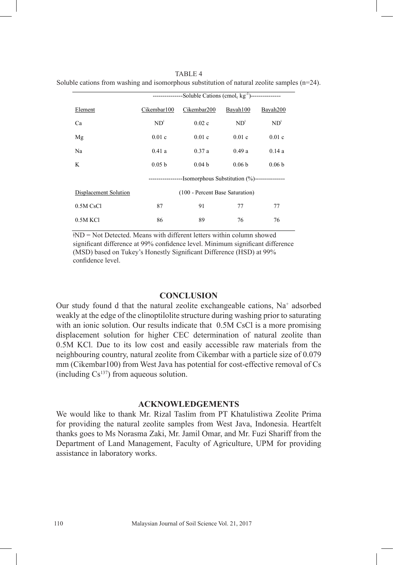Soluble cations from washing and isomorphous substitution of natural zeolite samples  $(n=24)$ . ----------------Soluble Cations (cmol<sub>c</sub> kg<sup>-1</sup>)----------------Element Cikembar100 Cikembar200 Bayah100 Bayah200 Ca  $ND^{\dagger}$  0.02 c  $ND^{\dagger}$  ND<sup> $\dagger$ </sup> ND<sup> $\dagger$ </sup> Mg 0.01 c 0.01 c 0.01 c 0.01 c 0.01 c

Na 1980 0.41 a 0.37 a 0.49 a 0.14 a K 0.05 b 0.04 b 0.06 b 0.06 b

> ---Isomorphous Substitution (%)---(100 - Percent Base Saturation)

TABLE 4

0.5M KCl 86 89 76 76  $HND = Not Detection$ . Means with different letters within column showed confidence level. Minimum significant difference (MSD) based on Tukey's Honestly Significant (MSD) based on Tukey's Honestly Significant Difference (HSD) at 99% significant difference at 99% confidence level. Minimum significant difference

0.5M CsCl 87 91 77 77

confidence level.

Displacement Solution

### **CONCLUSION**

Our study found d that the natural zeolite exchangeable cations, Na<sup>+</sup> adsorbed weakly at the edge of the clinoptilolite structure during washing prior to saturating with an ionic solution. Our results indicate that 0.5M CsCl is a more promising displacement solution for higher CEC determination of natural zeolite than 0.5M KCl. Due to its low cost and easily accessible raw materials from the neighbouring country, natural zeolite from Cikembar with a particle size of 0.079 mm (Cikembar100) from West Java has potential for cost-effective removal of Cs (including  $Cs^{137}$ ) from aqueous solution.

# **ACKNOWLEDGEMENTS**

We would like to thank Mr. Rizal Taslim from PT Khatulistiwa Zeolite Prima for providing the natural zeolite samples from West Java, Indonesia. Heartfelt thanks goes to Ms Norasma Zaki, Mr. Jamil Omar, and Mr. Fuzi Shariff from the Department of Land Management, Faculty of Agriculture, UPM for providing assistance in laboratory works.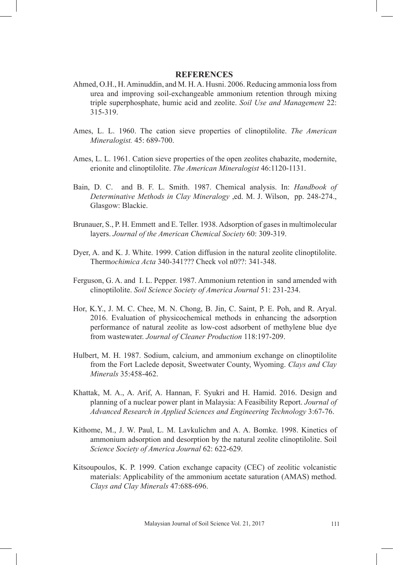### **REFERENCES**

- Ahmed, O.H., H. Aminuddin, and M. H. A. Husni. 2006. Reducing ammonia loss from urea and improving soil-exchangeable ammonium retention through mixing triple superphosphate, humic acid and zeolite. *Soil Use and Management* 22: 315-319.
- Ames, L. L. 1960. The cation sieve properties of clinoptilolite. *The American Mineralogist.* 45: 689-700.
- Ames, L. L. 1961. Cation sieve properties of the open zeolites chabazite, modernite, erionite and clinoptilolite. *The American Mineralogist* 46:1120-1131.
- Bain, D. C. and B. F. L. Smith. 1987. Chemical analysis. In: *Handbook of Determinative Methods in Clay Mineralogy* ,ed. M. J. Wilson, pp. 248-274., Glasgow: Blackie.
- Brunauer, S., P. H. Emmett and E. Teller. 1938. Adsorption of gases in multimolecular layers. *Journal of the American Chemical Society* 60: 309-319.
- Dyer, A. and K. J. White. 1999. Cation diffusion in the natural zeolite clinoptilolite. Therm*ochimica Acta* 340-341??? Check vol n0??: 341-348.
- Ferguson, G. A. and I. L. Pepper. 1987. Ammonium retention in sand amended with clinoptilolite. *Soil Science Society of America Journal* 51: 231-234.
- Hor, K.Y., J. M. C. Chee, M. N. Chong, B. Jin, C. Saint, P. E. Poh, and R. Aryal. 2016. Evaluation of physicochemical methods in enhancing the adsorption performance of natural zeolite as low-cost adsorbent of methylene blue dye from wastewater. *Journal of Cleaner Production* 118:197-209.
- Hulbert, M. H. 1987. Sodium, calcium, and ammonium exchange on clinoptilolite from the Fort Laclede deposit, Sweetwater County, Wyoming. *Clays and Clay Minerals* 35:458-462.
- Khattak, M. A., A. Arif, A. Hannan, F. Syukri and H. Hamid. 2016. Design and planning of a nuclear power plant in Malaysia: A Feasibility Report. *Journal of Advanced Research in Applied Sciences and Engineering Technology* 3:67-76.
- Kithome, M., J. W. Paul, L. M. Lavkulichm and A. A. Bomke. 1998. Kinetics of ammonium adsorption and desorption by the natural zeolite clinoptilolite. Soil *Science Society of America Journal* 62: 622-629.
- Kitsoupoulos, K. P. 1999. Cation exchange capacity (CEC) of zeolitic volcanistic materials: Applicability of the ammonium acetate saturation (AMAS) method. *Clays and Clay Minerals* 47:688-696.